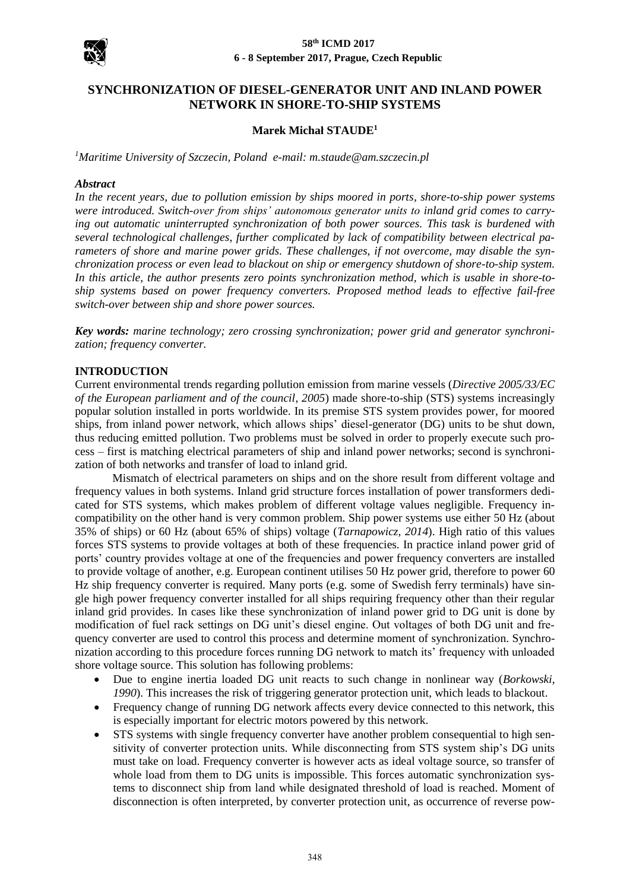

#### **58th ICMD 2017 6 - 8 September 2017, Prague, Czech Republic**

# **SYNCHRONIZATION OF DIESEL-GENERATOR UNIT AND INLAND POWER NETWORK IN SHORE-TO-SHIP SYSTEMS**

# **Marek Michał STAUDE<sup>1</sup>**

*<sup>1</sup>Maritime University of Szczecin, Poland e-mail: m.staude@am.szczecin.pl*

#### *Abstract*

*In the recent years, due to pollution emission by ships moored in ports, shore-to-ship power systems were introduced. Switch-over from ships' autonomous generator units to inland grid comes to carrying out automatic uninterrupted synchronization of both power sources. This task is burdened with several technological challenges, further complicated by lack of compatibility between electrical parameters of shore and marine power grids. These challenges, if not overcome, may disable the synchronization process or even lead to blackout on ship or emergency shutdown of shore-to-ship system. In this article, the author presents zero points synchronization method, which is usable in shore-toship systems based on power frequency converters. Proposed method leads to effective fail-free switch-over between ship and shore power sources.*

*Key words: marine technology; zero crossing synchronization; power grid and generator synchronization; frequency converter.*

# **INTRODUCTION**

Current environmental trends regarding pollution emission from marine vessels (*Directive 2005/33/EC of the European parliament and of the council*, *2005*) made shore-to-ship (STS) systems increasingly popular solution installed in ports worldwide. In its premise STS system provides power, for moored ships, from inland power network, which allows ships' diesel-generator (DG) units to be shut down, thus reducing emitted pollution. Two problems must be solved in order to properly execute such process – first is matching electrical parameters of ship and inland power networks; second is synchronization of both networks and transfer of load to inland grid.

Mismatch of electrical parameters on ships and on the shore result from different voltage and frequency values in both systems. Inland grid structure forces installation of power transformers dedicated for STS systems, which makes problem of different voltage values negligible. Frequency incompatibility on the other hand is very common problem. Ship power systems use either 50 Hz (about 35% of ships) or 60 Hz (about 65% of ships) voltage (*Tarnapowicz, 2014*). High ratio of this values forces STS systems to provide voltages at both of these frequencies. In practice inland power grid of ports' country provides voltage at one of the frequencies and power frequency converters are installed to provide voltage of another, e.g. European continent utilises 50 Hz power grid, therefore to power 60 Hz ship frequency converter is required. Many ports (e.g. some of Swedish ferry terminals) have single high power frequency converter installed for all ships requiring frequency other than their regular inland grid provides. In cases like these synchronization of inland power grid to DG unit is done by modification of fuel rack settings on DG unit's diesel engine. Out voltages of both DG unit and frequency converter are used to control this process and determine moment of synchronization. Synchronization according to this procedure forces running DG network to match its' frequency with unloaded shore voltage source. This solution has following problems:

- Due to engine inertia loaded DG unit reacts to such change in nonlinear way (*Borkowski, 1990*). This increases the risk of triggering generator protection unit, which leads to blackout.
- Frequency change of running DG network affects every device connected to this network, this is especially important for electric motors powered by this network.
- STS systems with single frequency converter have another problem consequential to high sensitivity of converter protection units. While disconnecting from STS system ship's DG units must take on load. Frequency converter is however acts as ideal voltage source, so transfer of whole load from them to DG units is impossible. This forces automatic synchronization systems to disconnect ship from land while designated threshold of load is reached. Moment of disconnection is often interpreted, by converter protection unit, as occurrence of reverse pow-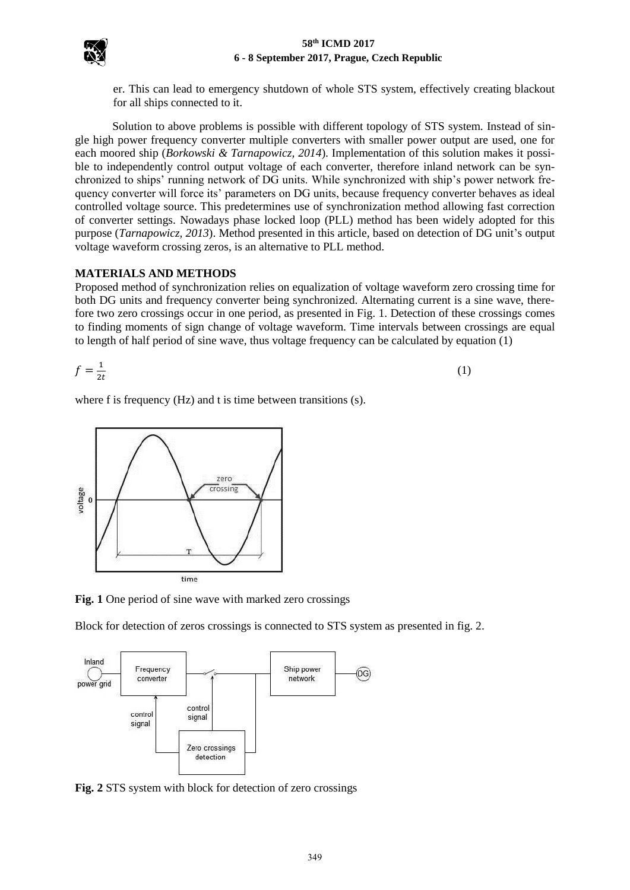

er. This can lead to emergency shutdown of whole STS system, effectively creating blackout for all ships connected to it.

Solution to above problems is possible with different topology of STS system. Instead of single high power frequency converter multiple converters with smaller power output are used, one for each moored ship (*Borkowski & Tarnapowicz, 2014*). Implementation of this solution makes it possible to independently control output voltage of each converter, therefore inland network can be synchronized to ships' running network of DG units. While synchronized with ship's power network frequency converter will force its' parameters on DG units, because frequency converter behaves as ideal controlled voltage source. This predetermines use of synchronization method allowing fast correction of converter settings. Nowadays phase locked loop (PLL) method has been widely adopted for this purpose (*Tarnapowicz, 2013*). Method presented in this article, based on detection of DG unit's output voltage waveform crossing zeros, is an alternative to PLL method.

# **MATERIALS AND METHODS**

Proposed method of synchronization relies on equalization of voltage waveform zero crossing time for both DG units and frequency converter being synchronized. Alternating current is a sine wave, therefore two zero crossings occur in one period, as presented in Fig. 1. Detection of these crossings comes to finding moments of sign change of voltage waveform. Time intervals between crossings are equal to length of half period of sine wave, thus voltage frequency can be calculated by equation (1)

$$
f = \frac{1}{2t} \tag{1}
$$

where f is frequency (Hz) and t is time between transitions (s).



**Fig. 1** One period of sine wave with marked zero crossings

Block for detection of zeros crossings is connected to STS system as presented in fig. 2.



**Fig. 2** STS system with block for detection of zero crossings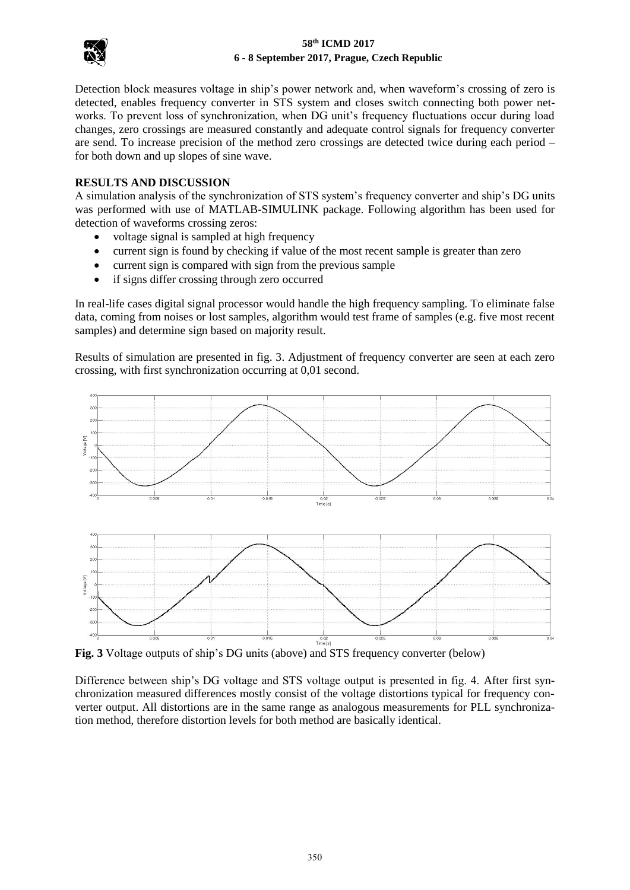

# **58th ICMD 2017 6 - 8 September 2017, Prague, Czech Republic**

Detection block measures voltage in ship's power network and, when waveform's crossing of zero is detected, enables frequency converter in STS system and closes switch connecting both power networks. To prevent loss of synchronization, when DG unit's frequency fluctuations occur during load changes, zero crossings are measured constantly and adequate control signals for frequency converter are send. To increase precision of the method zero crossings are detected twice during each period – for both down and up slopes of sine wave.

# **RESULTS AND DISCUSSION**

A simulation analysis of the synchronization of STS system's frequency converter and ship's DG units was performed with use of MATLAB-SIMULINK package. Following algorithm has been used for detection of waveforms crossing zeros:

- voltage signal is sampled at high frequency
- current sign is found by checking if value of the most recent sample is greater than zero
- current sign is compared with sign from the previous sample
- if signs differ crossing through zero occurred

In real-life cases digital signal processor would handle the high frequency sampling. To eliminate false data, coming from noises or lost samples, algorithm would test frame of samples (e.g. five most recent samples) and determine sign based on majority result.

Results of simulation are presented in fig. 3. Adjustment of frequency converter are seen at each zero crossing, with first synchronization occurring at 0,01 second.



**Fig. 3** Voltage outputs of ship's DG units (above) and STS frequency converter (below)

Difference between ship's DG voltage and STS voltage output is presented in fig. 4. After first synchronization measured differences mostly consist of the voltage distortions typical for frequency converter output. All distortions are in the same range as analogous measurements for PLL synchronization method, therefore distortion levels for both method are basically identical.